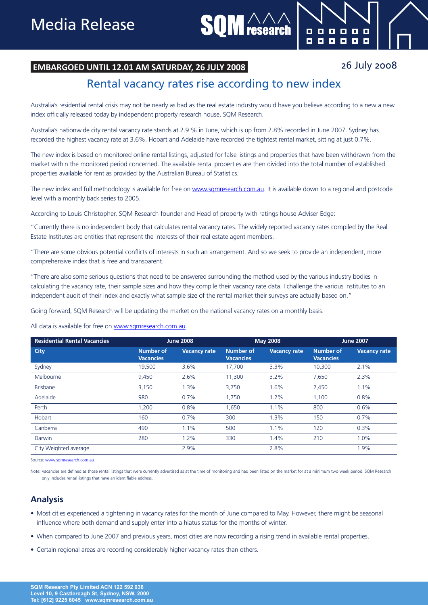## **EMBARGOED UNTIL 12.01 AM SATURDAY, 26 JULY 2008**

## 26 July 2008

E Б

 $\blacksquare$  $\blacksquare$ 

8888

. . . .

## Rental vacancy rates rise according to new index

research

Australia's residential rental crisis may not be nearly as bad as the real estate industry would have you believe according to a new a new index officially released today by independent property research house, SQM Research.

Australia's nationwide city rental vacancy rate stands at 2.9 % in June, which is up from 2.8% recorded in June 2007. Sydney has recorded the highest vacancy rate at 3.6%. Hobart and Adelaide have recorded the tightest rental market, sitting at just 0.7%.

The new index is based on monitored online rental listings, adjusted for false listings and properties that have been withdrawn from the market within the monitored period concerned. The available rental properties are then divided into the total number of established properties available for rent as provided by the Australian Bureau of Statistics.

The new index and full methodology is available for free on www.sqmresearch.com.au. It is available down to a regional and postcode level with a monthly back series to 2005.

According to Louis Christopher, SQM Research founder and Head of property with ratings house Adviser Edge:

"Currently there is no independent body that calculates rental vacancy rates. The widely reported vacancy rates compiled by the Real Estate Institutes are entities that represent the interests of their real estate agent members.

"There are some obvious potential conflicts of interests in such an arrangement. And so we seek to provide an independent, more comprehensive index that is free and transparent.

"There are also some serious questions that need to be answered surrounding the method used by the various industry bodies in calculating the vacancy rate, their sample sizes and how they compile their vacancy rate data. I challenge the various institutes to an independent audit of their index and exactly what sample size of the rental market their surveys are actually based on."

Going forward, SQM Research will be updating the market on the national vacancy rates on a monthly basis.

All data is available for free on www.sqmresearch.com.au.

| <b>Residential Rental Vacancies</b> | <b>June 2008</b>              |                     | <b>May 2008</b>               |                     | <b>June 2007</b>              |                     |
|-------------------------------------|-------------------------------|---------------------|-------------------------------|---------------------|-------------------------------|---------------------|
| City                                | Number of<br><b>Vacancies</b> | <b>Vacancy rate</b> | Number of<br><b>Vacancies</b> | <b>Vacancy rate</b> | Number of<br><b>Vacancies</b> | <b>Vacancy rate</b> |
| Sydney                              | 19,500                        | 3.6%                | 17,700                        | 3.3%                | 10,300                        | 2.1%                |
| Melbourne                           | 9,450                         | 2.6%                | 11,300                        | 3.2%                | 7,650                         | 2.3%                |
| <b>Brisbane</b>                     | 3,150                         | 1.3%                | 3,750                         | 1.6%                | 2,450                         | 1.1%                |
| Adelaide                            | 980                           | 0.7%                | 1,750                         | 1.2%                | 1,100                         | 0.8%                |
| Perth                               | 1,200                         | 0.8%                | 1,650                         | 1.1%                | 800                           | 0.6%                |
| Hobart                              | 160                           | 0.7%                | 300                           | 1.3%                | 150                           | 0.7%                |
| Canberra                            | 490                           | 1.1%                | 500                           | 1.1%                | 120                           | 0.3%                |
| Darwin                              | 280                           | 1.2%                | 330                           | 1.4%                | 210                           | 1.0%                |
| City Weighted average               |                               | 2.9%                |                               | 2.8%                |                               | 1.9%                |

Source: www.samre

Note: Vacancies are defined as those rental listings that were currently advertised as at the time of monitoring and had been listed on the market for at a minimum two week period. SQM Research only includes rental listings that have an identifiable address.

## **Analysis**

- Most cities experienced a tightening in vacancy rates for the month of June compared to May. However, there might be seasonal influence where both demand and supply enter into a hiatus status for the months of winter.
- • When compared to June 2007 and previous years, most cities are now recording a rising trend in available rental properties.
- Certain regional areas are recording considerably higher vacancy rates than others.